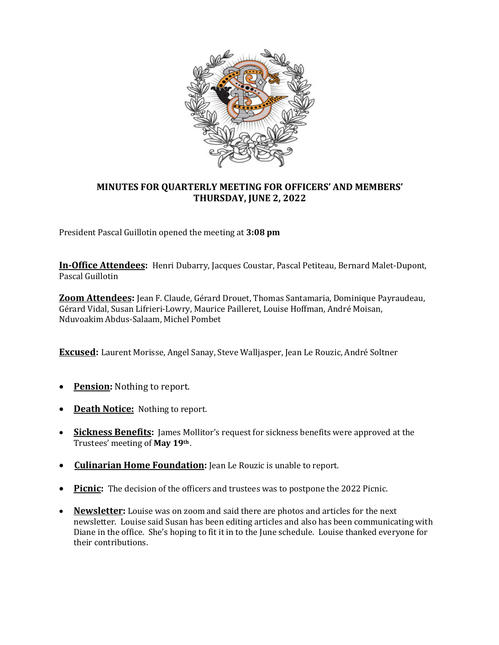

## **MINUTES FOR QUARTERLY MEETING FOR OFFICERS' AND MEMBERS' THURSDAY, JUNE 2, 2022**

President Pascal Guillotin opened the meeting at **3:08 pm**

**In-Office Attendees:** Henri Dubarry, Jacques Coustar, Pascal Petiteau, Bernard Malet-Dupont, Pascal Guillotin

**Zoom Attendees:** Jean F. Claude, Gérard Drouet, Thomas Santamaria, Dominique Payraudeau, Gérard Vidal, Susan Lifrieri-Lowry, Maurice Pailleret, Louise Hoffman, André Moisan, Nduvoakim Abdus-Salaam, Michel Pombet

**Excused:** Laurent Morisse, Angel Sanay, Steve Walljasper, Jean Le Rouzic, André Soltner

- **Pension:** Nothing to report.
- **Death Notice:** Nothing to report.
- **Sickness Benefits:** James Mollitor's request for sickness benefits were approved at the Trustees' meeting of **May 19th** .
- **Culinarian Home Foundation:** Jean Le Rouzic is unable to report.
- Picnic: The decision of the officers and trustees was to postpone the 2022 Picnic.
- **Newsletter:** Louise was on zoom and said there are photos and articles for the next newsletter. Louise said Susan has been editing articles and also has been communicating with Diane in the office. She's hoping to fit it in to the June schedule. Louise thanked everyone for their contributions.